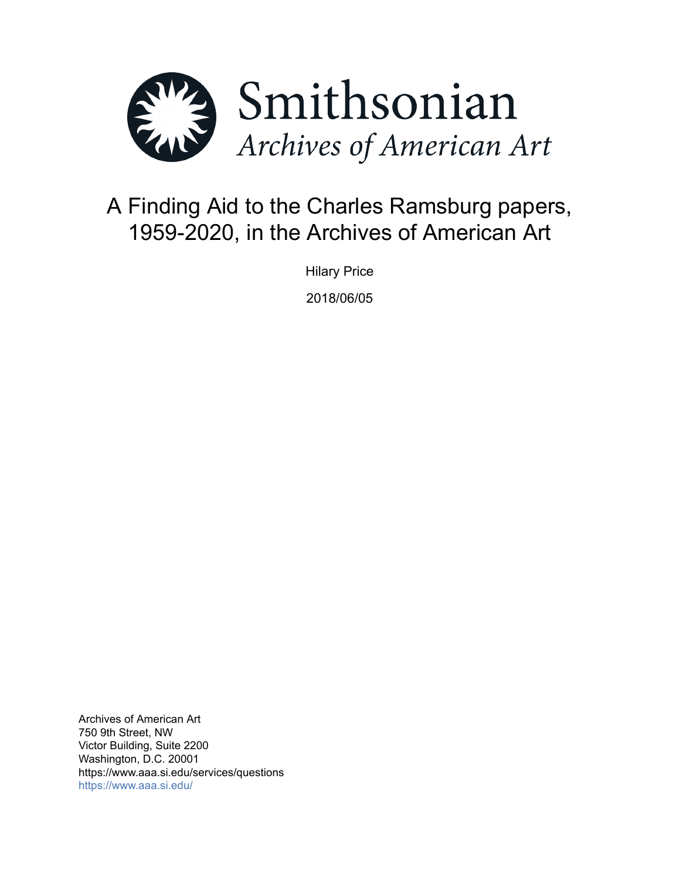

# A Finding Aid to the Charles Ramsburg papers, 1959-2020, in the Archives of American Art

Hilary Price 2018/06/05

Archives of American Art 750 9th Street, NW Victor Building, Suite 2200 Washington, D.C. 20001 https://www.aaa.si.edu/services/questions <https://www.aaa.si.edu/>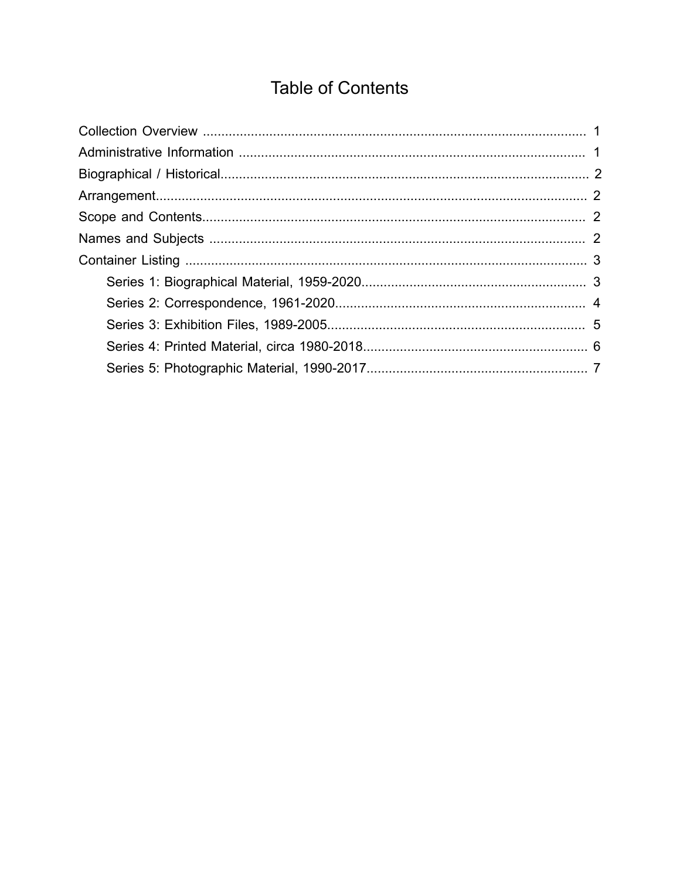# **Table of Contents**

<span id="page-1-0"></span>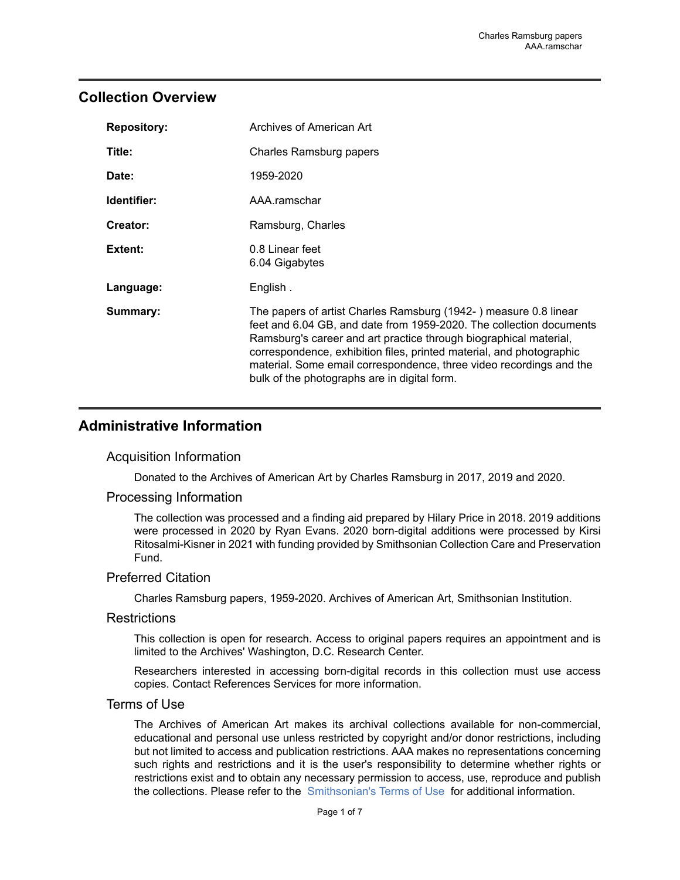### <span id="page-2-0"></span>**Collection Overview**

| <b>Repository:</b> | Archives of American Art                                                                                                                                                                                                                                                                                                                                                                                    |
|--------------------|-------------------------------------------------------------------------------------------------------------------------------------------------------------------------------------------------------------------------------------------------------------------------------------------------------------------------------------------------------------------------------------------------------------|
| Title:             | Charles Ramsburg papers                                                                                                                                                                                                                                                                                                                                                                                     |
| Date:              | 1959-2020                                                                                                                                                                                                                                                                                                                                                                                                   |
| Identifier:        | AAA.ramschar                                                                                                                                                                                                                                                                                                                                                                                                |
| Creator:           | Ramsburg, Charles                                                                                                                                                                                                                                                                                                                                                                                           |
| Extent:            | 0.8 Linear feet<br>6.04 Gigabytes                                                                                                                                                                                                                                                                                                                                                                           |
| Language:          | English.                                                                                                                                                                                                                                                                                                                                                                                                    |
| Summary:           | The papers of artist Charles Ramsburg (1942-) measure 0.8 linear<br>feet and 6.04 GB, and date from 1959-2020. The collection documents<br>Ramsburg's career and art practice through biographical material,<br>correspondence, exhibition files, printed material, and photographic<br>material. Some email correspondence, three video recordings and the<br>bulk of the photographs are in digital form. |

## <span id="page-2-1"></span>**Administrative Information**

#### Acquisition Information

Donated to the Archives of American Art by Charles Ramsburg in 2017, 2019 and 2020.

#### Processing Information

The collection was processed and a finding aid prepared by Hilary Price in 2018. 2019 additions were processed in 2020 by Ryan Evans. 2020 born-digital additions were processed by Kirsi Ritosalmi-Kisner in 2021 with funding provided by Smithsonian Collection Care and Preservation Fund.

#### Preferred Citation

Charles Ramsburg papers, 1959-2020. Archives of American Art, Smithsonian Institution.

#### **Restrictions**

This collection is open for research. Access to original papers requires an appointment and is limited to the Archives' Washington, D.C. Research Center.

Researchers interested in accessing born-digital records in this collection must use access copies. Contact References Services for more information.

#### Terms of Use

The Archives of American Art makes its archival collections available for non-commercial, educational and personal use unless restricted by copyright and/or donor restrictions, including but not limited to access and publication restrictions. AAA makes no representations concerning such rights and restrictions and it is the user's responsibility to determine whether rights or restrictions exist and to obtain any necessary permission to access, use, reproduce and publish the collections. Please refer to the [Smithsonian's](https://www.si.edu/termsofuse) Terms of Use for additional information.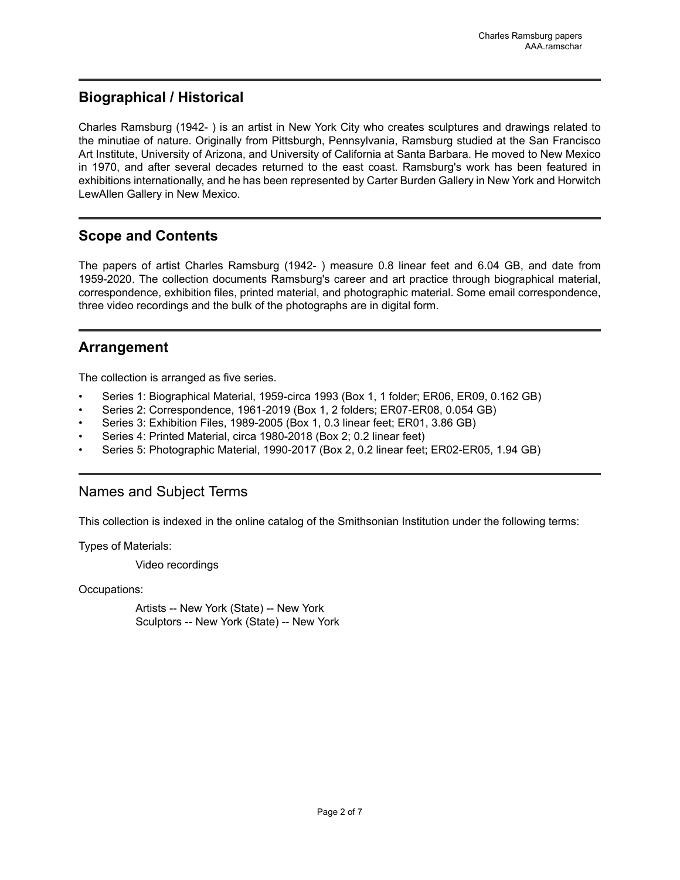## <span id="page-3-0"></span>**Biographical / Historical**

Charles Ramsburg (1942- ) is an artist in New York City who creates sculptures and drawings related to the minutiae of nature. Originally from Pittsburgh, Pennsylvania, Ramsburg studied at the San Francisco Art Institute, University of Arizona, and University of California at Santa Barbara. He moved to New Mexico in 1970, and after several decades returned to the east coast. Ramsburg's work has been featured in exhibitions internationally, and he has been represented by Carter Burden Gallery in New York and Horwitch LewAllen Gallery in New Mexico.

# <span id="page-3-2"></span>**Scope and Contents**

The papers of artist Charles Ramsburg (1942- ) measure 0.8 linear feet and 6.04 GB, and date from 1959-2020. The collection documents Ramsburg's career and art practice through biographical material, correspondence, exhibition files, printed material, and photographic material. Some email correspondence, three video recordings and the bulk of the photographs are in digital form.

# <span id="page-3-1"></span>**Arrangement**

The collection is arranged as five series.

- Series 1: Biographical Material, 1959-circa 1993 (Box 1, 1 folder; ER06, ER09, 0.162 GB)
- Series 2: Correspondence, 1961-2019 (Box 1, 2 folders; ER07-ER08, 0.054 GB)
- Series 3: Exhibition Files, 1989-2005 (Box 1, 0.3 linear feet; ER01, 3.86 GB)
- Series 4: Printed Material, circa 1980-2018 (Box 2; 0.2 linear feet)
- Series 5: Photographic Material, 1990-2017 (Box 2, 0.2 linear feet; ER02-ER05, 1.94 GB)

## <span id="page-3-3"></span>Names and Subject Terms

This collection is indexed in the online catalog of the Smithsonian Institution under the following terms:

Types of Materials:

Video recordings

Occupations:

Artists -- New York (State) -- New York Sculptors -- New York (State) -- New York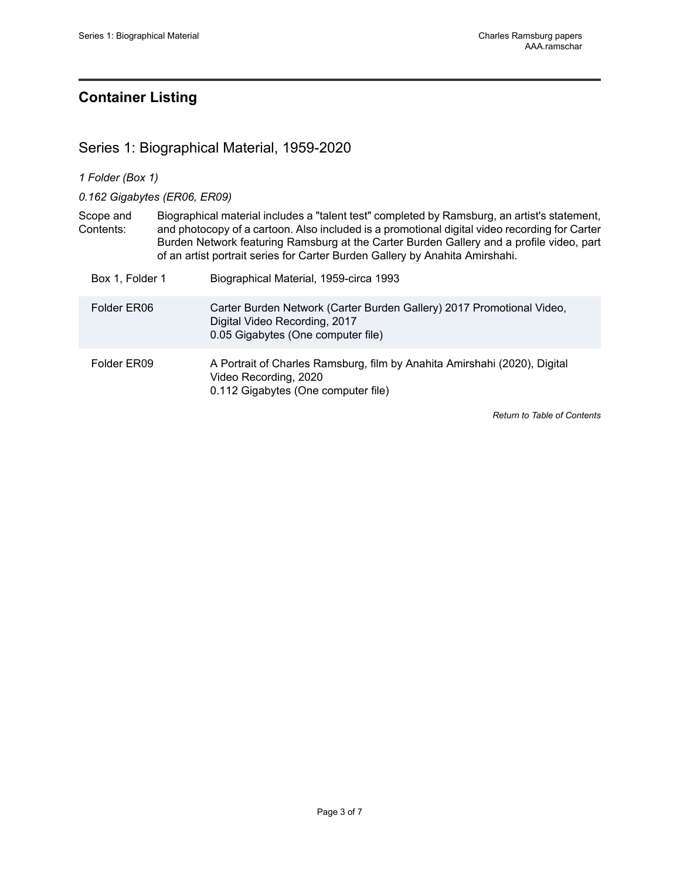# <span id="page-4-0"></span>**Container Listing**

# <span id="page-4-1"></span>Series 1: Biographical Material, 1959-2020

|  | 1 Folder (Box 1) |  |  |
|--|------------------|--|--|
|--|------------------|--|--|

*0.162 Gigabytes (ER06, ER09)*

| Scope and | Biographical material includes a "talent test" completed by Ramsburg, an artist's statement,  |
|-----------|-----------------------------------------------------------------------------------------------|
| Contents: | and photocopy of a cartoon. Also included is a promotional digital video recording for Carter |
|           | Burden Network featuring Ramsburg at the Carter Burden Gallery and a profile video, part      |
|           | of an artist portrait series for Carter Burden Gallery by Anahita Amirshahi.                  |

| Box 1, Folder 1 | Biographical Material, 1959-circa 1993                                                                                                       |
|-----------------|----------------------------------------------------------------------------------------------------------------------------------------------|
| Folder ER06     | Carter Burden Network (Carter Burden Gallery) 2017 Promotional Video,<br>Digital Video Recording, 2017<br>0.05 Gigabytes (One computer file) |
| Folder ER09     | A Portrait of Charles Ramsburg, film by Anahita Amirshahi (2020), Digital<br>Video Recording, 2020<br>0.112 Gigabytes (One computer file)    |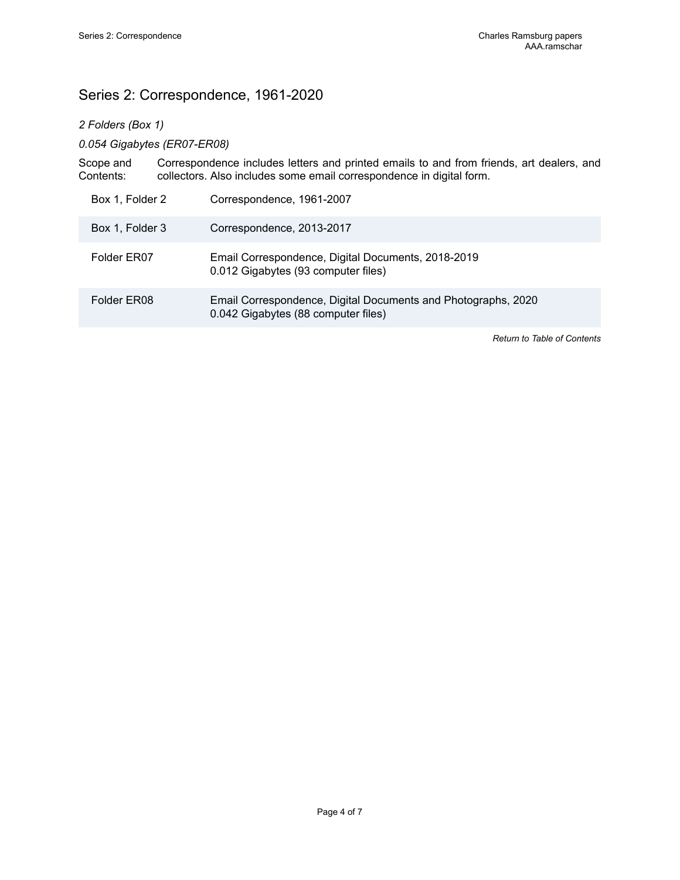# <span id="page-5-0"></span>Series 2: Correspondence, 1961-2020

### *2 Folders (Box 1)*

#### *0.054 Gigabytes (ER07-ER08)*

Scope and Contents: Correspondence includes letters and printed emails to and from friends, art dealers, and collectors. Also includes some email correspondence in digital form.

| Box 1, Folder 2 | Correspondence, 1961-2007                                                                            |
|-----------------|------------------------------------------------------------------------------------------------------|
| Box 1, Folder 3 | Correspondence, 2013-2017                                                                            |
| Folder ER07     | Email Correspondence, Digital Documents, 2018-2019<br>0.012 Gigabytes (93 computer files)            |
| Folder ER08     | Email Correspondence, Digital Documents and Photographs, 2020<br>0.042 Gigabytes (88 computer files) |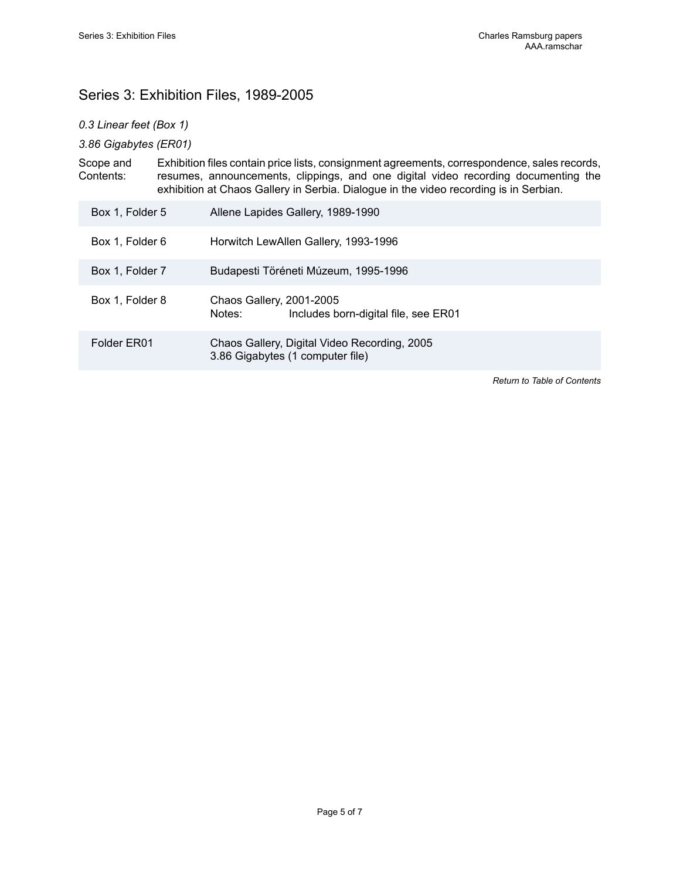# <span id="page-6-0"></span>Series 3: Exhibition Files, 1989-2005

#### *0.3 Linear feet (Box 1)*

*3.86 Gigabytes (ER01)*

Scope and Contents: Exhibition files contain price lists, consignment agreements, correspondence, sales records, resumes, announcements, clippings, and one digital video recording documenting the exhibition at Chaos Gallery in Serbia. Dialogue in the video recording is in Serbian.

| Box 1, Folder 5 | Allene Lapides Gallery, 1989-1990                                                |
|-----------------|----------------------------------------------------------------------------------|
| Box 1, Folder 6 | Horwitch LewAllen Gallery, 1993-1996                                             |
| Box 1, Folder 7 | Budapesti Töréneti Múzeum, 1995-1996                                             |
| Box 1, Folder 8 | Chaos Gallery, 2001-2005<br>Notes:<br>Includes born-digital file, see ER01       |
| Folder ER01     | Chaos Gallery, Digital Video Recording, 2005<br>3.86 Gigabytes (1 computer file) |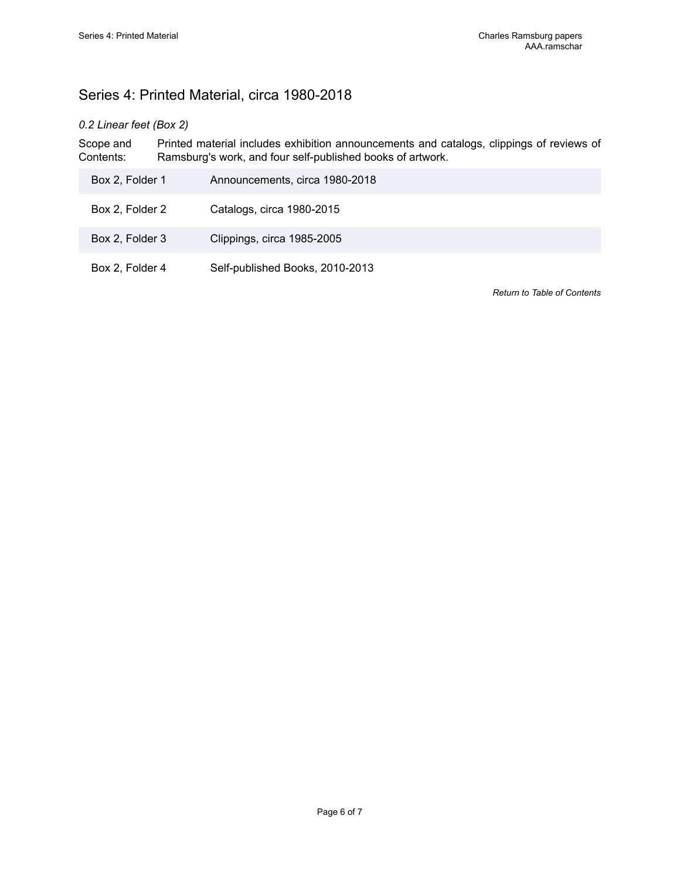# <span id="page-7-0"></span>Series 4: Printed Material, circa 1980-2018

#### *0.2 Linear feet (Box 2)*

Scope and Contents: Printed material includes exhibition announcements and catalogs, clippings of reviews of Ramsburg's work, and four self-published books of artwork.

| Box 2, Folder 1 | Announcements, circa 1980-2018  |
|-----------------|---------------------------------|
| Box 2, Folder 2 | Catalogs, circa 1980-2015       |
| Box 2, Folder 3 | Clippings, circa 1985-2005      |
| Box 2, Folder 4 | Self-published Books, 2010-2013 |